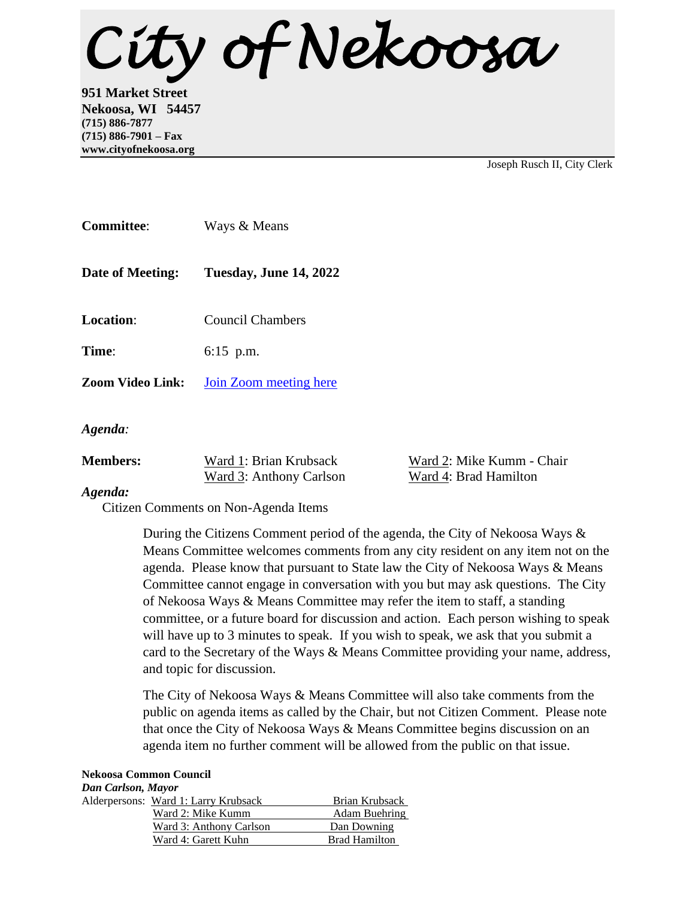*City of Nekoosa* 

**951 Market Street Nekoosa, WI 54457 (715) 886-7877 (715) 886-7901 – Fax www.cityofnekoosa.org**

Joseph Rusch II, City Clerk

| <b>Committee:</b>       | Ways & Means            |
|-------------------------|-------------------------|
| Date of Meeting:        | Tuesday, June 14, 2022  |
| Location:               | <b>Council Chambers</b> |
| Time:                   | $6:15$ p.m.             |
| <b>Zoom Video Link:</b> | Join Zoom meeting here  |
| Agenda:                 |                         |

| <b>Members:</b> | Ward 1: Brian Krubsack  | Ward 2: Mike Kumm - Chair |
|-----------------|-------------------------|---------------------------|
|                 | Ward 3: Anthony Carlson | Ward 4: Brad Hamilton     |
|                 |                         |                           |

## *Agenda:*

Citizen Comments on Non-Agenda Items

During the Citizens Comment period of the agenda, the City of Nekoosa Ways & Means Committee welcomes comments from any city resident on any item not on the agenda. Please know that pursuant to State law the City of Nekoosa Ways & Means Committee cannot engage in conversation with you but may ask questions. The City of Nekoosa Ways & Means Committee may refer the item to staff, a standing committee, or a future board for discussion and action. Each person wishing to speak will have up to 3 minutes to speak. If you wish to speak, we ask that you submit a card to the Secretary of the Ways & Means Committee providing your name, address, and topic for discussion.

The City of Nekoosa Ways & Means Committee will also take comments from the public on agenda items as called by the Chair, but not Citizen Comment. Please note that once the City of Nekoosa Ways & Means Committee begins discussion on an agenda item no further comment will be allowed from the public on that issue.

## **Nekoosa Common Council** *Dan Carlson, Mayor* Alderpersons: Ward 1: Larry Krubsack Brian Krubsack Ward 2: Mike Kumm Adam Buehring Ward 3: Anthony Carlson Dan Downing

Ward 4: Garett Kuhn Brad Hamilton